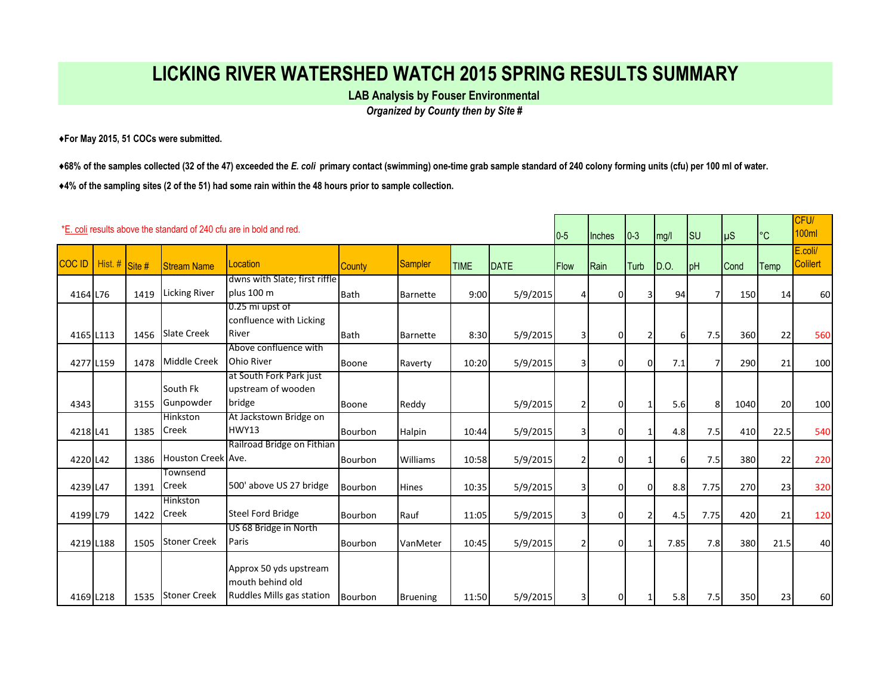## **LICKING RIVER WATERSHED WATCH 2015 SPRING RESULTS SUMMARY**

**LAB Analysis by Fouser Environmental** 

*Organized by County then by Site #*

**♦For May 2015, 51 COCs were submitted.** 

**♦68% of the samples collected (32 of the 47) exceeded the** *E. coli* **primary contact (swimming) one-time grab sample standard of 240 colony forming units (cfu) per 100 ml of water. ♦4% of the sampling sites (2 of the 51) had some rain within the 48 hours prior to sample collection.** 

| *E, coli results above the standard of 240 cfu are in bold and red.<br>$0-5$ |                |      |                          |                                                                         |                |                 |             |          |                | <b>Inches</b>  | $\vert 0-3 \vert$ | mg/l | lsu            | µS          | $\circ$ C | CFU/<br>100ml              |
|------------------------------------------------------------------------------|----------------|------|--------------------------|-------------------------------------------------------------------------|----------------|-----------------|-------------|----------|----------------|----------------|-------------------|------|----------------|-------------|-----------|----------------------------|
| <b>COC ID</b>                                                                | Hist. # Site # |      | <b>Stream Name</b>       | Location                                                                | <b>County</b>  | Sampler         | <b>TIME</b> | DATE     | <b>Flow</b>    | Rain           | <b>Turb</b>       | D.O. | pH             | <b>Cond</b> | Temp      | E.coli/<br><b>Colilert</b> |
| 4164 L76                                                                     |                | 1419 | <b>Licking River</b>     | dwns with Slate; first riffle<br>plus 100 m                             | <b>Bath</b>    | <b>Barnette</b> | 9:00        | 5/9/2015 | $\vert$        | $\Omega$       | 3                 | 94   | $\overline{7}$ | 150         | 14        | 60                         |
| 4165 L113                                                                    |                | 1456 | <b>Slate Creek</b>       | 0.25 mi upst of<br>confluence with Licking<br>River                     | <b>Bath</b>    | <b>Barnette</b> | 8:30        | 5/9/2015 | $\overline{3}$ | $\Omega$       | 2                 | 6    | 7.5            | 360         | 22        | 560                        |
| 4277 L159                                                                    |                | 1478 | Middle Creek             | Above confluence with<br>Ohio River                                     | <b>Boone</b>   | Raverty         | 10:20       | 5/9/2015 | $\overline{3}$ | $\Omega$       | $\overline{0}$    | 7.1  | $\overline{7}$ | 290         | 21        | 100                        |
| 4343                                                                         |                | 3155 | South Fk<br>Gunpowder    | at South Fork Park just<br>upstream of wooden<br>bridge                 | <b>Boone</b>   | Reddy           |             | 5/9/2015 | $\overline{2}$ | $\Omega$       |                   | 5.6  | 8              | 1040        | 20        | 100                        |
| 4218 L41                                                                     |                | 1385 | Hinkston<br>Creek        | At Jackstown Bridge on<br>HWY13                                         | Bourbon        | Halpin          | 10:44       | 5/9/2015 | $\overline{3}$ | $\Omega$       |                   | 4.8  | 7.5            | 410         | 22.5      | 540                        |
| 4220 L42                                                                     |                | 1386 | Houston Creek Ave.       | Railroad Bridge on Fithian                                              | Bourbon        | Williams        | 10:58       | 5/9/2015 | $\overline{2}$ | $\Omega$       |                   | 6    | 7.5            | 380         | 22        | 220                        |
| 4239 L47                                                                     |                | 1391 | Townsend<br>Creek        | 500' above US 27 bridge                                                 | <b>Bourbon</b> | <b>Hines</b>    | 10:35       | 5/9/2015 | $\overline{3}$ | $\overline{0}$ | $\Omega$          | 8.8  | 7.75           | 270         | 23        | 320                        |
| 4199 L79                                                                     |                | 1422 | <b>Hinkston</b><br>Creek | <b>Steel Ford Bridge</b>                                                | Bourbon        | Rauf            | 11:05       | 5/9/2015 | $\overline{3}$ | $\Omega$       | 2                 | 4.5  | 7.75           | 420         | 21        | 120                        |
| 4219 L188                                                                    |                | 1505 | <b>Stoner Creek</b>      | US 68 Bridge in North<br>Paris                                          | Bourbon        | VanMeter        | 10:45       | 5/9/2015 | $\overline{2}$ | $\overline{0}$ |                   | 7.85 | 7.8            | 380         | 21.5      | 40                         |
| 4169 L218                                                                    |                | 1535 | <b>Stoner Creek</b>      | Approx 50 yds upstream<br>mouth behind old<br>Ruddles Mills gas station | <b>Bourbon</b> | <b>Bruening</b> | 11:50       | 5/9/2015 | $\overline{3}$ | $\Omega$       |                   | 5.8  | 7.5            | 350         | 23        | 60                         |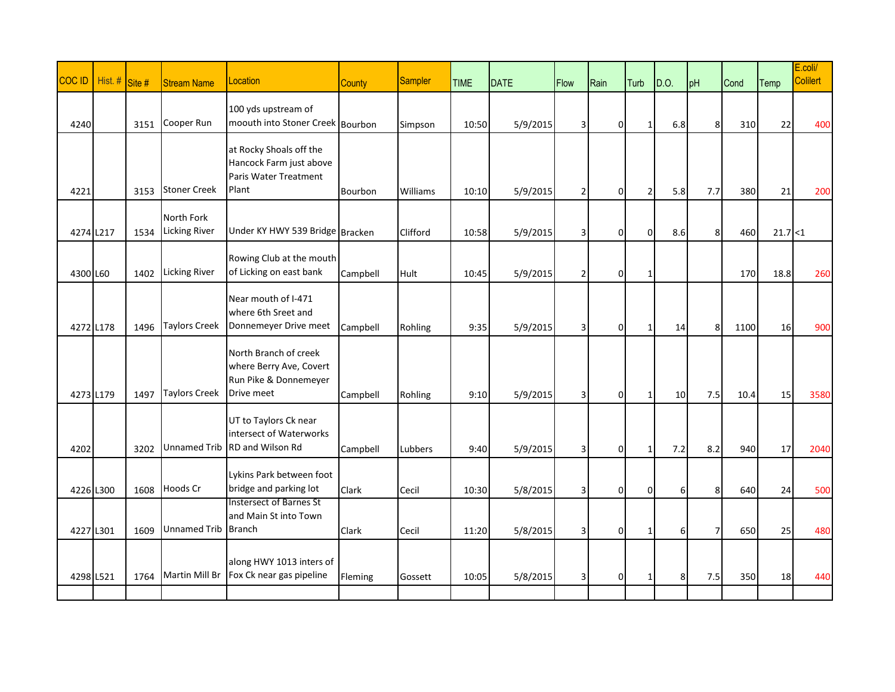| <b>COC ID</b> | Hist. # Site # |      | <b>Stream Name</b>                 | Location                                                                                | <b>County</b> | Sampler  | <b>TIME</b> | <b>DATE</b> | <b>Flow</b>    | Rain           | Turb           | D.O.            | pH             | Cond | Temp     | E.coli/<br><b>Colilert</b> |
|---------------|----------------|------|------------------------------------|-----------------------------------------------------------------------------------------|---------------|----------|-------------|-------------|----------------|----------------|----------------|-----------------|----------------|------|----------|----------------------------|
| 4240          |                | 3151 | Cooper Run                         | 100 yds upstream of<br>moouth into Stoner Creek Bourbon                                 |               | Simpson  | 10:50       | 5/9/2015    | $\vert$ 3      | 0              | $\mathbf{1}$   | 6.8             | 8              | 310  | 22       | 400                        |
| 4221          |                | 3153 | <b>Stoner Creek</b>                | at Rocky Shoals off the<br>Hancock Farm just above<br>Paris Water Treatment<br>Plant    | Bourbon       | Williams | 10:10       | 5/9/2015    | $\overline{2}$ | 0              | $\overline{2}$ | 5.8             | 7.7            | 380  | 21       | 200                        |
| 4274 L217     |                | 1534 | North Fork<br><b>Licking River</b> | Under KY HWY 539 Bridge Bracken                                                         |               | Clifford | 10:58       | 5/9/2015    | 3 <sup>1</sup> | 0              | $\overline{0}$ | 8.6             | 8              | 460  | 21.7 < 1 |                            |
| 4300 L60      |                | 1402 | <b>Licking River</b>               | Rowing Club at the mouth<br>of Licking on east bank                                     | Campbell      | Hult     | 10:45       | 5/9/2015    | $\overline{2}$ | $\mathbf 0$    | 1              |                 |                | 170  | 18.8     | 260                        |
| 4272 L178     |                | 1496 | <b>Taylors Creek</b>               | Near mouth of I-471<br>where 6th Sreet and<br>Donnemeyer Drive meet                     | Campbell      | Rohling  | 9:35        | 5/9/2015    | $\vert$ 3      | 0              | 1              | 14              | 8              | 1100 | 16       | 900                        |
| 4273 L179     |                | 1497 | <b>Taylors Creek</b>               | North Branch of creek<br>where Berry Ave, Covert<br>Run Pike & Donnemeyer<br>Drive meet | Campbell      | Rohling  | 9:10        | 5/9/2015    | 3 <sup>1</sup> | $\mathbf 0$    | $\mathbf{1}$   | 10 <sup>1</sup> | 7.5            | 10.4 | 15       | 3580                       |
| 4202          |                | 3202 | <b>Unnamed Trib</b>                | UT to Taylors Ck near<br>intersect of Waterworks<br>RD and Wilson Rd                    | Campbell      | Lubbers  | 9:40        | 5/9/2015    | 3 <sup>1</sup> | $\overline{0}$ | 1              | 7.2             | 8.2            | 940  | 17       | 2040                       |
| 4226 L300     |                | 1608 | Hoods Cr                           | Lykins Park between foot<br>bridge and parking lot                                      | Clark         | Cecil    | 10:30       | 5/8/2015    | 3 <sup>1</sup> | 0              | $\overline{0}$ | 6 <sup>1</sup>  | 8              | 640  | 24       | 500                        |
| 4227 L301     |                | 1609 | Unnamed Trib Branch                | <b>Instersect of Barnes St</b><br>and Main St into Town                                 | Clark         | Cecil    | 11:20       | 5/8/2015    | 3 <sup>1</sup> | $\mathbf 0$    | 1              | $6 \mid$        | $\overline{7}$ | 650  | 25       | 480                        |
| 4298 L521     |                | 1764 | <b>Martin Mill Br</b>              | along HWY 1013 inters of<br>Fox Ck near gas pipeline                                    | Fleming       | Gossett  | 10:05       | 5/8/2015    | $\vert$ 3      | $\mathbf 0$    | 1              | 8               | 7.5            | 350  | 18       | 440                        |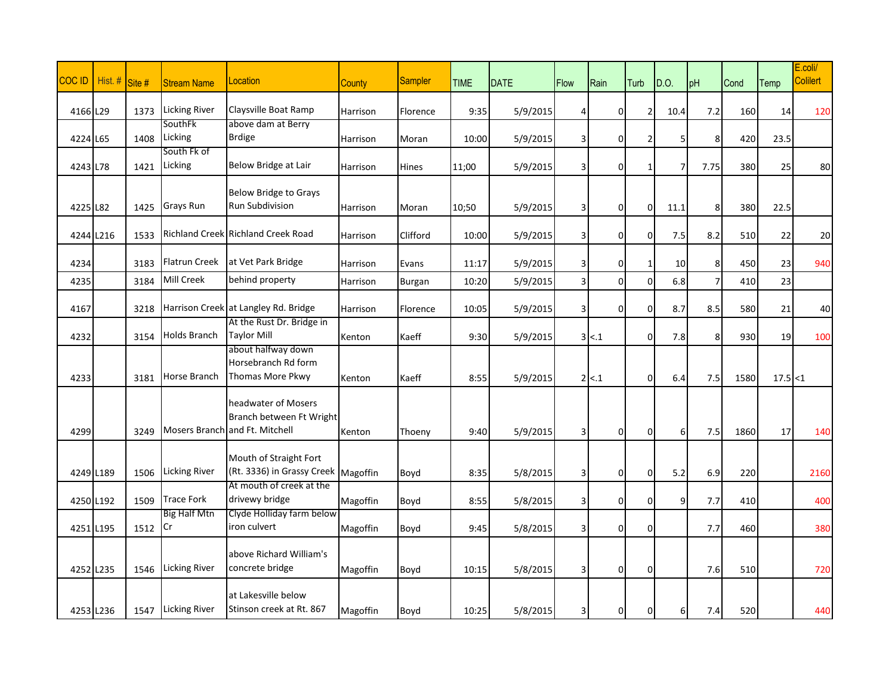| <b>COCID</b> | Hist. # |        |                           |                                                                                   |               |                |             |             |                         |                |                |                 |                |      |          | E.coli/<br><b>Colilert</b> |
|--------------|---------|--------|---------------------------|-----------------------------------------------------------------------------------|---------------|----------------|-------------|-------------|-------------------------|----------------|----------------|-----------------|----------------|------|----------|----------------------------|
|              |         | Site # | <b>Stream Name</b>        | Location                                                                          | <b>County</b> | <b>Sampler</b> | <b>TIME</b> | <b>DATE</b> | <b>Flow</b>             | Rain           | Turb           | D.O.            | pH             | Cond | Temp     |                            |
| 4166 L29     |         | 1373   | <b>Licking River</b>      | Claysville Boat Ramp                                                              | Harrison      | Florence       | 9:35        | 5/9/2015    | 4                       | 0              | 2              | 10.4            | 7.2            | 160  | 14       | 120                        |
|              |         |        | SouthFk                   | above dam at Berry                                                                |               |                |             |             |                         |                |                |                 |                |      |          |                            |
| 4224 L65     |         | 1408   | Licking<br>South Fk of    | <b>Brdige</b>                                                                     | Harrison      | Moran          | 10:00       | 5/9/2015    | $\overline{\mathbf{3}}$ | $\mathbf 0$    | $\overline{2}$ | 5               | 8              | 420  | 23.5     |                            |
| 4243 L78     |         | 1421   | Licking                   | Below Bridge at Lair                                                              | Harrison      | Hines          | 11;00       | 5/9/2015    | $\overline{\mathbf{3}}$ | $\mathbf 0$    | 1              | 7               | 7.75           | 380  | 25       | 80                         |
|              |         |        |                           | <b>Below Bridge to Grays</b>                                                      |               |                |             |             |                         |                |                |                 |                |      |          |                            |
| 4225 L82     |         | 1425   | <b>Grays Run</b>          | <b>Run Subdivision</b>                                                            | Harrison      | Moran          | 10;50       | 5/9/2015    | $\vert$ 3               | 0              | $\overline{0}$ | 11.1            | 8              | 380  | 22.5     |                            |
| 4244 L216    |         | 1533   |                           | Richland Creek Richland Creek Road                                                | Harrison      | Clifford       | 10:00       | 5/9/2015    | $\vert$ 3               | 0              | $\overline{0}$ | 7.5             | 8.2            | 510  | 22       | 20                         |
| 4234         |         | 3183   | Flatrun Creek             | at Vet Park Bridge                                                                | Harrison      | Evans          | 11:17       | 5/9/2015    | $\vert 3 \vert$         | 0              | $\mathbf{1}$   | 10 <sup>1</sup> | 8              | 450  | 23       | 940                        |
| 4235         |         | 3184   | Mill Creek                | behind property                                                                   | Harrison      | Burgan         | 10:20       | 5/9/2015    | $\overline{3}$          | $\mathbf 0$    | $\overline{0}$ | 6.8             | $\overline{7}$ | 410  | 23       |                            |
| 4167         |         | 3218   |                           | Harrison Creek at Langley Rd. Bridge                                              | Harrison      | Florence       | 10:05       | 5/9/2015    | $\vert$ 3               | $\overline{0}$ | $\overline{0}$ | 8.7             | 8.5            | 580  | 21       | 40                         |
|              |         |        | <b>Holds Branch</b>       | At the Rust Dr. Bridge in<br><b>Taylor Mill</b>                                   |               |                |             |             |                         |                |                |                 |                |      |          |                            |
| 4232         |         | 3154   |                           | about halfway down                                                                | Kenton        | Kaeff          | 9:30        | 5/9/2015    |                         | 3 < 1          | $\overline{0}$ | 7.8             | 8              | 930  | 19       | 100                        |
|              |         |        |                           | Horsebranch Rd form                                                               |               |                |             |             |                         |                |                |                 |                |      |          |                            |
| 4233         |         | 3181   | Horse Branch              | Thomas More Pkwy                                                                  | Kenton        | Kaeff          | 8:55        | 5/9/2015    |                         | $2 \times .1$  | $\overline{0}$ | 6.4             | 7.5            | 1580 | 17.5 < 1 |                            |
| 4299         |         | 3249   |                           | headwater of Mosers<br>Branch between Ft Wright<br>Mosers Branch and Ft. Mitchell | Kenton        | Thoeny         | 9:40        | 5/9/2015    | $\overline{3}$          | 0              | $\overline{0}$ | $6 \mid$        | 7.5            | 1860 | 17       | 140                        |
|              |         |        |                           | Mouth of Straight Fort                                                            |               |                |             |             |                         |                |                |                 |                |      |          |                            |
| 4249 L189    |         | 1506   | <b>Licking River</b>      | (Rt. 3336) in Grassy Creek Magoffin                                               |               | Boyd           | 8:35        | 5/8/2015    | $\vert$ 3               | $\mathbf 0$    | $\overline{0}$ | 5.2             | 6.9            | 220  |          | 2160                       |
| 4250 L192    |         | 1509   | <b>Trace Fork</b>         | At mouth of creek at the<br>drivewy bridge                                        | Magoffin      | Boyd           | 8:55        | 5/8/2015    | $\vert$ 3               | 0              | $\overline{0}$ | 9               | 7.7            | 410  |          | 400                        |
|              |         |        | <b>Big Half Mtn</b><br>Cr | Clyde Holliday farm below<br>iron culvert                                         |               |                |             |             |                         |                |                |                 |                |      |          |                            |
| 4251 L195    |         | 1512   |                           |                                                                                   | Magoffin      | Boyd           | 9:45        | 5/8/2015    | $\vert$ 3               | 0              | $\overline{0}$ |                 | 7.7            | 460  |          | 380                        |
|              |         |        |                           | above Richard William's                                                           |               |                |             |             |                         |                |                |                 |                |      |          |                            |
| 4252 L235    |         | 1546   | <b>Licking River</b>      | concrete bridge                                                                   | Magoffin      | Boyd           | 10:15       | 5/8/2015    | 3 <sup>1</sup>          | 0              | $\overline{0}$ |                 | 7.6            | 510  |          | 720                        |
| 4253 L236    |         | 1547   | <b>Licking River</b>      | at Lakesville below<br>Stinson creek at Rt. 867                                   | Magoffin      | Boyd           | 10:25       | 5/8/2015    | 3 <sup>1</sup>          | 0              | $\overline{0}$ | $6 \mid$        | 7.4            | 520  |          | 440                        |